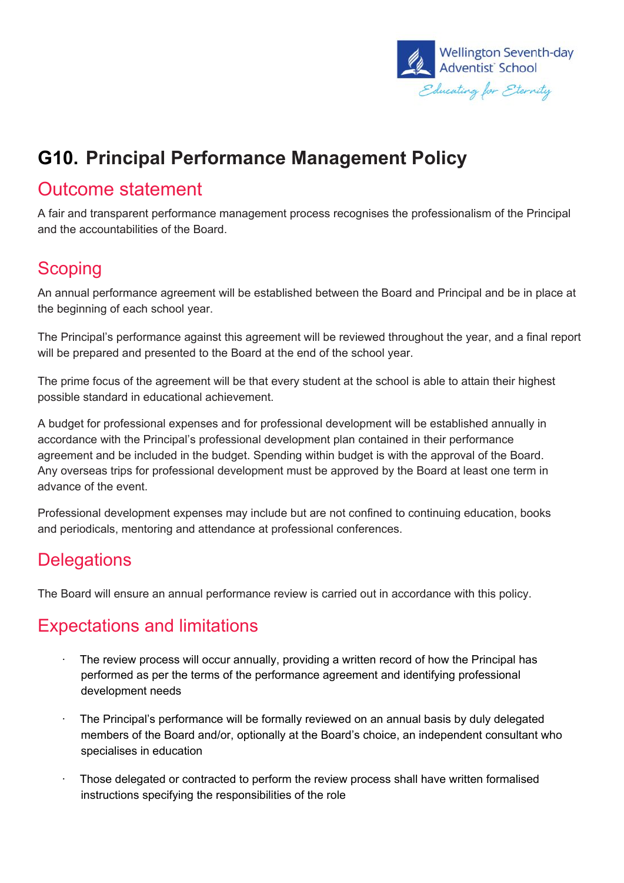

# **G10. Principal Performance Management Policy**

#### Outcome statement

A fair and transparent performance management process recognises the professionalism of the Principal and the accountabilities of the Board.

#### **Scoping**

An annual performance agreement will be established between the Board and Principal and be in place at the beginning of each school year.

The Principal's performance against this agreement will be reviewed throughout the year, and a final report will be prepared and presented to the Board at the end of the school year.

The prime focus of the agreement will be that every student at the school is able to attain their highest possible standard in educational achievement.

A budget for professional expenses and for professional development will be established annually in accordance with the Principal's professional development plan contained in their performance agreement and be included in the budget. Spending within budget is with the approval of the Board. Any overseas trips for professional development must be approved by the Board at least one term in advance of the event.

Professional development expenses may include but are not confined to continuing education, books and periodicals, mentoring and attendance at professional conferences.

## **Delegations**

The Board will ensure an annual performance review is carried out in accordance with this policy.

## Expectations and limitations

- The review process will occur annually, providing a written record of how the Principal has performed as per the terms of the performance agreement and identifying professional development needs
- · The Principal's performance will be formally reviewed on an annual basis by duly delegated members of the Board and/or, optionally at the Board's choice, an independent consultant who specialises in education
- · Those delegated or contracted to perform the review process shall have written formalised instructions specifying the responsibilities of the role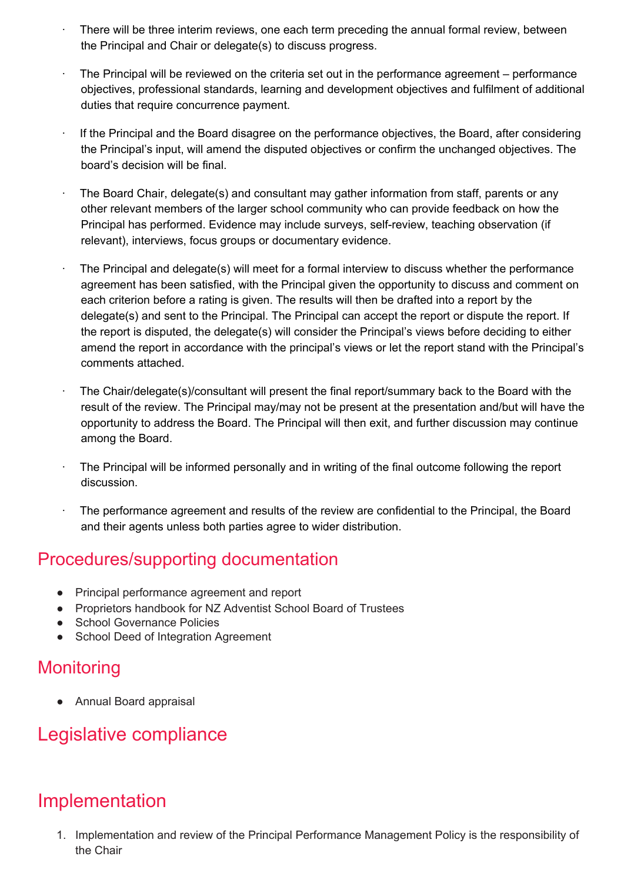- There will be three interim reviews, one each term preceding the annual formal review, between the Principal and Chair or delegate(s) to discuss progress.
- The Principal will be reviewed on the criteria set out in the performance agreement performance objectives, professional standards, learning and development objectives and fulfilment of additional duties that require concurrence payment.
- · If the Principal and the Board disagree on the performance objectives, the Board, after considering the Principal's input, will amend the disputed objectives or confirm the unchanged objectives. The board's decision will be final.
- The Board Chair, delegate(s) and consultant may gather information from staff, parents or any other relevant members of the larger school community who can provide feedback on how the Principal has performed. Evidence may include surveys, self-review, teaching observation (if relevant), interviews, focus groups or documentary evidence.
- The Principal and delegate(s) will meet for a formal interview to discuss whether the performance agreement has been satisfied, with the Principal given the opportunity to discuss and comment on each criterion before a rating is given. The results will then be drafted into a report by the delegate(s) and sent to the Principal. The Principal can accept the report or dispute the report. If the report is disputed, the delegate(s) will consider the Principal's views before deciding to either amend the report in accordance with the principal's views or let the report stand with the Principal's comments attached.
- · The Chair/delegate(s)/consultant will present the final report/summary back to the Board with the result of the review. The Principal may/may not be present at the presentation and/but will have the opportunity to address the Board. The Principal will then exit, and further discussion may continue among the Board.
- · The Principal will be informed personally and in writing of the final outcome following the report discussion.
- The performance agreement and results of the review are confidential to the Principal, the Board and their agents unless both parties agree to wider distribution.

#### Procedures/supporting documentation

- Principal performance agreement and report
- Proprietors handbook for NZ Adventist School Board of Trustees
- School Governance Policies
- School Deed of Integration Agreement

#### **Monitoring**

● Annual Board appraisal

## Legislative compliance

# Implementation

1. Implementation and review of the Principal Performance Management Policy is the responsibility of the Chair